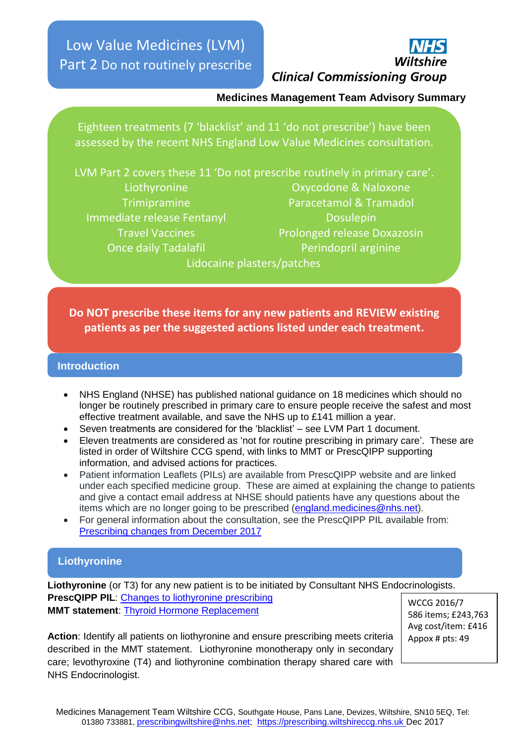Low Value Medicines (LVM) Part 2 Do not routinely prescribe



#### **Medicines Management Team Advisory Summary**

Eighteen treatments (7 'blacklist' and 11 'do not prescribe') have been assessed by the recent NHS England Low Value Medicines consultation.

LVM Part 2 covers these 11 'Do not prescribe routinely in primary care'. Liothyronine Oxycodone & Naloxone Trimipramine Paracetamol & Tramadol Immediate release Fentanyl Dosulepin Travel Vaccines **Prolonged release Doxazosin Once daily Tadalafil Perindopril arginine** Lidocaine plasters/patches

**Do NOT prescribe these items for any new patients and REVIEW existing patients as per the suggested actions listed under each treatment.**

#### **Introduction**

- NHS England (NHSE) has published national guidance on 18 medicines which should no longer be routinely prescribed in primary care to ensure people receive the safest and most effective treatment available, and save the NHS up to £141 million a year.
- Seven treatments are considered for the 'blacklist' see LVM Part 1 document.
- Eleven treatments are considered as 'not for routine prescribing in primary care'. These are listed in order of Wiltshire CCG spend, with links to MMT or PrescQIPP supporting information, and advised actions for practices.
- Patient information Leaflets (PILs) are available from PrescQIPP website and are linked under each specified medicine group. These are aimed at explaining the change to patients and give a contact email address at NHSE should patients have any questions about the items which are no longer going to be prescribed [\(england.medicines@nhs.net\)](mailto:england.medicines@nhs.net).
- For general information about the consultation, see the PrescQIPP PIL available from: [Prescribing changes from December 2017](https://www.prescqipp.info/component/jdownloads/send/414-items-which-should-not-routinely-be-prescribed-in-primary-care-patient-leaflets/3756-patient-information-prescribing-changes-from-december-2017)

# **Liothyronine**

**Liothyronine** (or T3) for any new patient is to be initiated by Consultant NHS Endocrinologists. **PrescQIPP PIL**: [Changes to liothyronine prescribing](https://www.prescqipp.info/component/jdownloads/send/414-items-which-should-not-routinely-be-prescribed-in-primary-care-patient-leaflets/3747-patient-information-changes-to-liothyronine-prescribing) **MMT statement**: [Thyroid Hormone Replacement](https://prescribing.wiltshireccg.nhs.uk/?wpdmdl=1185)

WCCG 2016/7 586 items; £243,763 Avg cost/item: £416 Appox # pts: 49

**Action**: Identify all patients on liothyronine and ensure prescribing meets criteria described in the MMT statement. Liothyronine monotherapy only in secondary care; levothyroxine (T4) and liothyronine combination therapy shared care with NHS Endocrinologist.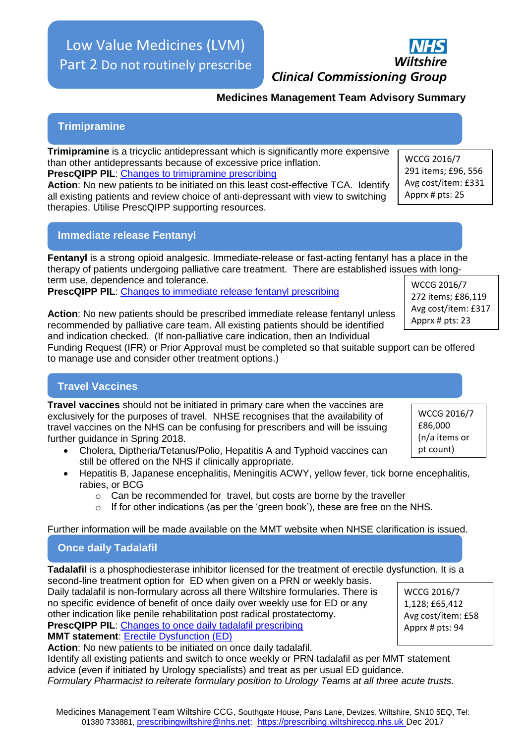# Low Value Medicines (LVM) Part 2 Do not routinely prescribe

Identify all existing patients and switch to once weekly or PRN tadalafil as per MMT statement

*Formulary Pharmacist to reiterate formulary position to Urology Teams at all three acute trusts.*

**Action**: No new patients should be prescribed immediate release fentanyl unless recommended by palliative care team. All existing patients should be identified and indication checked*.* (If non-palliative care indication, then an Individual

Funding Request (IFR) or Prior Approval must be completed so that suitable support can be offered to manage use and consider other treatment options.)

# **Travel Vaccines**

**Travel vaccines** should not be initiated in primary care when the vaccines are exclusively for the purposes of travel. NHSE recognises that the availability of travel vaccines on the NHS can be confusing for prescribers and will be issuing further guidance in Spring 2018.

- Cholera, Diptheria/Tetanus/Polio, Hepatitis A and Typhoid vaccines can still be offered on the NHS if clinically appropriate.
- Hepatitis B, Japanese encephalitis, Meningitis ACWY, yellow fever, tick borne encephalitis, rabies, or BCG
	- o Can be recommended for travel, but costs are borne by the traveller
	- o If for other indications (as per the 'green book'), these are free on the NHS.

Further information will be made available on the MMT website when NHSE clarification is issued.

# **Once daily Tadalafil**

**Tadalafil** is a phosphodiesterase inhibitor licensed for the treatment of erectile dysfunction. It is a second-line treatment option for ED when given on a PRN or weekly basis.

Daily tadalafil is non-formulary across all there Wiltshire formularies. There is no specific evidence of benefit of once daily over weekly use for ED or any other indication like penile rehabilitation post radical prostatectomy. **PrescQIPP PIL**: [Changes to once daily tadalafil prescribing](https://www.prescqipp.info/component/jdownloads/send/414-items-which-should-not-routinely-be-prescribed-in-primary-care-patient-leaflets/3750-patient-information-changes-to-once-daily-tadalafil-prescribing) **MMT statement**: [Erectile Dysfunction \(ED\)](https://prescribing.wiltshireccg.nhs.uk/?wpdmdl=997)

advice (even if initiated by Urology specialists) and treat as per usual ED guidance.

**Action**: No new patients to be initiated on once daily tadalafil.

WCCG 2016/7 1,128; £65,412 Avg cost/item: £58 Apprx # pts: 94

WCCG 2016/7 291 items; £96, 556 Avg cost/item: £331 Apprx # pts: 25

**Medicines Management Team Advisory Summary**

**Trimipramine**

**Trimipramine** is a tricyclic antidepressant which is significantly more expensive than other antidepressants because of excessive price inflation. **PrescQIPP PIL**: [Changes](https://www.prescqipp.info/component/jdownloads/send/414-items-which-should-not-routinely-be-prescribed-in-primary-care-patient-leaflets/3755-patient-information-changes-to-trimipramine-prescribing) to trimipramine prescribing

**Action**: No new patients to be initiated on this least cost-effective TCA. Identify all existing patients and review choice of anti-depressant with view to switching therapies. Utilise PrescQIPP supporting resources.

# **Immediate release Fentanyl**

therapy of patients undergoing palliative care treatment. There are established issues with longterm use, dependence and tolerance. **PrescQIPP PIL**: [Changes to immediate release fentanyl prescribing](https://www.prescqipp.info/component/jdownloads/send/414-items-which-should-not-routinely-be-prescribed-in-primary-care-patient-leaflets/3745-patient-information-changes-to-immediate-release-fentanyl-prescribing) WCCG 2016/7

**Fentanyl** is a strong opioid analgesic. Immediate-release or fast-acting fentanyl has a place in the

272 items; £86,119 Avg cost/item: £317 Apprx # pts: 23





**Clinical Commissioning Group**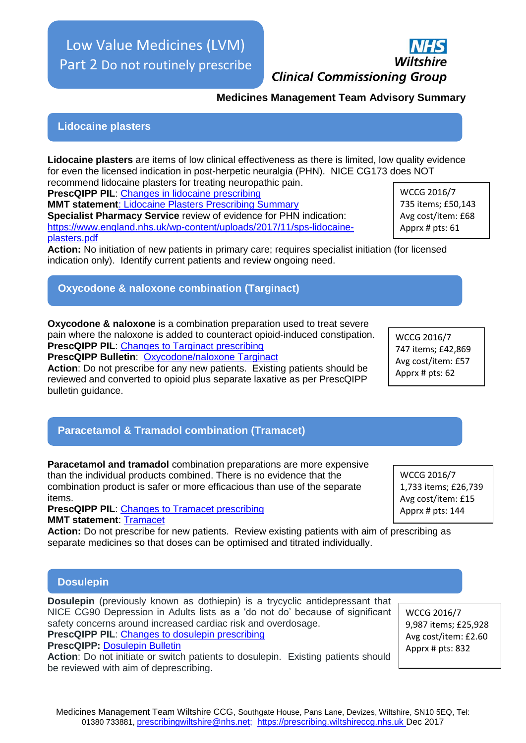#### Medicines Management Team Wiltshire CCG, Southgate House, Pans Lane, Devizes, Wiltshire, SN10 5EQ, Tel: 01380 733881, prescribingwiltshire@nhs.net; https://prescribing.wiltshireccg.nhs.uk Dec 2017

Low Value Medicines (LVM) Part 2 Do not routinely prescribe

**Medicines Management Team Advisory Summary**

#### **Lidocaine plasters**

**Lidocaine plasters** are items of low clinical effectiveness as there is limited, low quality evidence for even the licensed indication in post-herpetic neuralgia (PHN). NICE CG173 does NOT recommend lidocaine plasters for treating neuropathic pain.

**PrescQIPP PIL**: [Changes in lidocaine prescribing](https://www.prescqipp.info/component/jdownloads/send/414-items-which-should-not-routinely-be-prescribed-in-primary-care-patient-leaflets/3746-patient-information-changes-to-lidocaine-plaster-prescribing)

**MMT statement**[: Lidocaine Plasters Prescribing Summary](https://prescribing.wiltshireccg.nhs.uk/?wpdmdl=1674) **Specialist Pharmacy Service** review of evidence for PHN indication: [https://www.england.nhs.uk/wp-content/uploads/2017/11/sps-lidocaine](https://www.england.nhs.uk/wp-content/uploads/2017/11/sps-lidocaine-plasters.pdf)[plasters.pdf](https://www.england.nhs.uk/wp-content/uploads/2017/11/sps-lidocaine-plasters.pdf)

**Action:** No initiation of new patients in primary care; requires specialist initiation (for licensed indication only). Identify current patients and review ongoing need.

# **Oxycodone & naloxone combination (Targinact)**

**Oxycodone & naloxone** is a combination preparation used to treat severe pain where the naloxone is added to counteract opioid-induced constipation. **PrescQIPP PIL**: [Changes](https://www.prescqipp.info/component/jdownloads/send/414-items-which-should-not-routinely-be-prescribed-in-primary-care-patient-leaflets/3753-patient-information-changes-to-targinact-prescribing) to Targinact prescribing

**PrescQIPP Bulletin**: [Oxycodone/naloxone Targinact](https://www.prescqipp.info/component/jdownloads/send/105-oxycodone-naloxone-prolonged-release-targinact-tablets/1307-bulletin-56-oxycodone-naloxone-prolonged-release)

**Action**: Do not prescribe for any new patients. Existing patients should be reviewed and converted to opioid plus separate laxative as per PrescQIPP bulletin guidance.

# **Paracetamol & Tramadol combination (Tramacet)**

**Paracetamol and tramadol** combination preparations are more expensive than the individual products combined. There is no evidence that the combination product is safer or more efficacious than use of the separate items.

**PrescQIPP PIL: [Changes](https://www.prescqipp.info/component/jdownloads/send/414-items-which-should-not-routinely-be-prescribed-in-primary-care-patient-leaflets/3754-patient-information-changes-to-tramacet-prescribing) to Tramacet prescribing MMT statement**: [Tramacet](https://prescribing.wiltshireccg.nhs.uk/?wpdmdl=1673)

**Action:** Do not prescribe for new patients. Review existing patients with aim of prescribing as separate medicines so that doses can be optimised and titrated individually.

#### **Dosulepin**

**Dosulepin** (previously known as dothiepin) is a trycyclic antidepressant that NICE CG90 Depression in Adults lists as a 'do not do' because of significant safety concerns around increased cardiac risk and overdosage.

**PrescQIPP PIL**: [Changes](https://www.prescqipp.info/component/jdownloads/send/414-items-which-should-not-routinely-be-prescribed-in-primary-care-patient-leaflets/3758-patient-information-changes-to-dosulepin-prescribing) to dosulepin prescribing

**PrescQIPP: [Dosulepin Bulletin](https://www.prescqipp.info/component/jdownloads/send/313-dosulepin-drop-list/2857-bulletin-126-dosulepin-drop-list)** 

**Action**: Do not initiate or switch patients to dosulepin. Existing patients should be reviewed with aim of deprescribing.

WCCG 2016/7 735 items; £50,143 Avg cost/item: £68 Apprx # pts: 61

WCCG 2016/7 747 items; £42,869 Avg cost/item: £57 Apprx # pts: 62

WCCG 2016/7 1,733 items; £26,739 Avg cost/item: £15 Apprx # pts: 144

WCCG 2016/7 9,987 items; £25,928 Avg cost/item: £2.60 Apprx # pts: 832



**Clinical Commissioning Group**